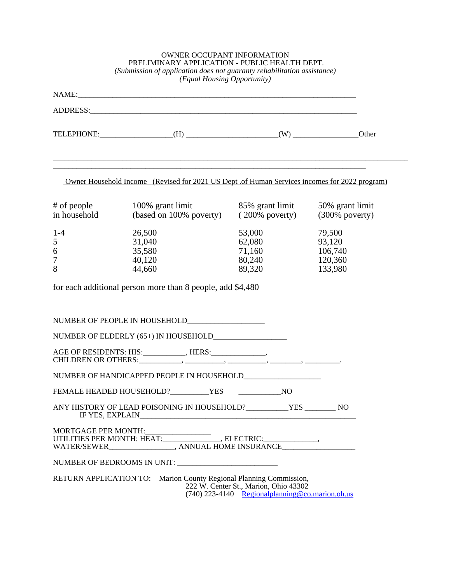| <b>OWNER OCCUPANT INFORMATION</b><br>PRELIMINARY APPLICATION - PUBLIC HEALTH DEPT.<br>(Submission of application does not guaranty rehabilitation assistance)<br>(Equal Housing Opportunity) |                                                                                               |                                                                                            |                                                   |  |  |
|----------------------------------------------------------------------------------------------------------------------------------------------------------------------------------------------|-----------------------------------------------------------------------------------------------|--------------------------------------------------------------------------------------------|---------------------------------------------------|--|--|
|                                                                                                                                                                                              |                                                                                               |                                                                                            |                                                   |  |  |
|                                                                                                                                                                                              |                                                                                               |                                                                                            |                                                   |  |  |
|                                                                                                                                                                                              |                                                                                               |                                                                                            |                                                   |  |  |
|                                                                                                                                                                                              | Owner Household Income (Revised for 2021 US Dept .of Human Services incomes for 2022 program) |                                                                                            |                                                   |  |  |
| # of people<br>in household                                                                                                                                                                  | 100% grant limit<br>(based on 100% poverty)                                                   | 85% grant limit<br>$(200\%$ poverty)                                                       | 50% grant limit<br>$(300\%$ poverty)              |  |  |
| $1 - 4$<br>5<br>6<br>7<br>8                                                                                                                                                                  | 26,500<br>31,040<br>35,580<br>40,120<br>44,660                                                | 53,000<br>62,080<br>71,160<br>80,240<br>89,320                                             | 79,500<br>93,120<br>106,740<br>120,360<br>133,980 |  |  |
|                                                                                                                                                                                              | for each additional person more than 8 people, add \$4,480                                    |                                                                                            |                                                   |  |  |
|                                                                                                                                                                                              |                                                                                               |                                                                                            |                                                   |  |  |
|                                                                                                                                                                                              |                                                                                               |                                                                                            |                                                   |  |  |
|                                                                                                                                                                                              | AGE OF RESIDENTS: HIS:___________, HERS:____________,                                         |                                                                                            |                                                   |  |  |
|                                                                                                                                                                                              |                                                                                               |                                                                                            |                                                   |  |  |
|                                                                                                                                                                                              |                                                                                               |                                                                                            |                                                   |  |  |
|                                                                                                                                                                                              | ANY HISTORY OF LEAD POISONING IN HOUSEHOLD?_____________YES _________ NO                      |                                                                                            |                                                   |  |  |
|                                                                                                                                                                                              |                                                                                               |                                                                                            |                                                   |  |  |
|                                                                                                                                                                                              |                                                                                               |                                                                                            |                                                   |  |  |
|                                                                                                                                                                                              | RETURN APPLICATION TO: Marion County Regional Planning Commission,                            | 222 W. Center St., Marion, Ohio 43302<br>(740) 223-4140 Regional planning @co.marion.oh.us |                                                   |  |  |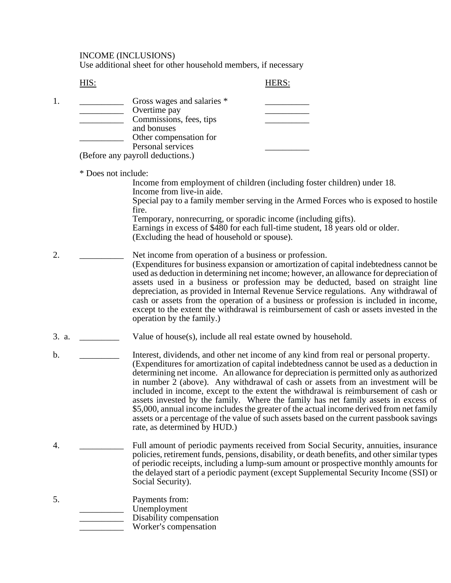INCOME (INCLUSIONS)

Use additional sheet for other household members, if necessary

HIS: HERS:

|  | Gross wages and salaries *         |  |
|--|------------------------------------|--|
|  | Overtime pay                       |  |
|  | Commissions, fees, tips            |  |
|  | and bonuses                        |  |
|  | Other compensation for             |  |
|  | Personal services                  |  |
|  | $(Dofone)$ any neurall deductions) |  |

(Before any payroll deductions.)

\* Does not include:

Income from employment of children (including foster children) under 18. Income from live-in aide. Special pay to a family member serving in the Armed Forces who is exposed to hostile fire. Temporary, nonrecurring, or sporadic income (including gifts). Earnings in excess of \$480 for each full-time student, 18 years old or older. (Excluding the head of household or spouse).

- 2. Net income from operation of a business or profession. (Expenditures for business expansion or amortization of capital indebtedness cannot be used as deduction in determining net income; however, an allowance for depreciation of assets used in a business or profession may be deducted, based on straight line depreciation, as provided in Internal Revenue Service regulations. Any withdrawal of cash or assets from the operation of a business or profession is included in income, except to the extent the withdrawal is reimbursement of cash or assets invested in the operation by the family.)
- 3. a.  $V$ alue of house(s), include all real estate owned by household.
- b. **Interest, dividends, and other net income of any kind from real or personal property.** (Expenditures for amortization of capital indebtedness cannot be used as a deduction in determining net income. An allowance for depreciation is permitted only as authorized in number 2 (above). Any withdrawal of cash or assets from an investment will be included in income, except to the extent the withdrawal is reimbursement of cash or assets invested by the family. Where the family has net family assets in excess of \$5,000, annual income includes the greater of the actual income derived from net family assets or a percentage of the value of such assets based on the current passbook savings rate, as determined by HUD.)
- 4. \_\_\_\_\_\_\_\_\_\_ Full amount of periodic payments received from Social Security, annuities, insurance policies, retirement funds, pensions, disability, or death benefits, and other similar types of periodic receipts, including a lump-sum amount or prospective monthly amounts for the delayed start of a periodic payment (except Supplemental Security Income (SSI) or Social Security).
- 5. Payments from: \_\_\_\_\_\_\_\_\_\_ Unemployment Disability compensation Worker's compensation